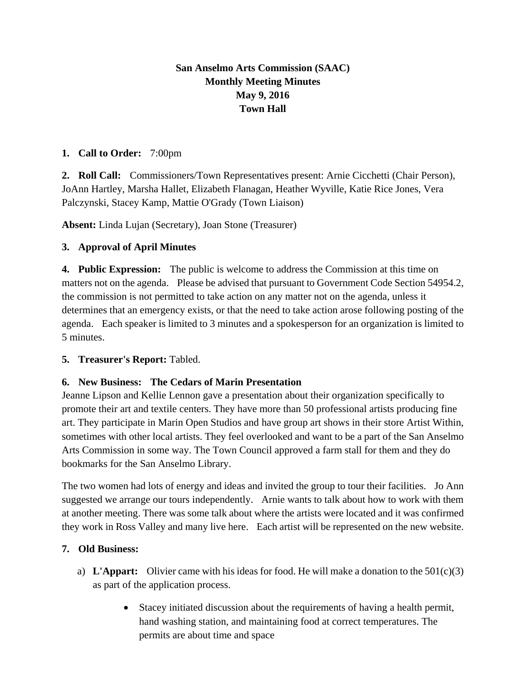# **San Anselmo Arts Commission (SAAC) Monthly Meeting Minutes May 9, 2016 Town Hall**

### **1. Call to Order:** 7:00pm

**2. Roll Call:** Commissioners/Town Representatives present: Arnie Cicchetti (Chair Person), JoAnn Hartley, Marsha Hallet, Elizabeth Flanagan, Heather Wyville, Katie Rice Jones, Vera Palczynski, Stacey Kamp, Mattie O'Grady (Town Liaison)

**Absent:** Linda Lujan (Secretary), Joan Stone (Treasurer)

### **3. Approval of April Minutes**

**4. Public Expression:** The public is welcome to address the Commission at this time on matters not on the agenda. Please be advised that pursuant to Government Code Section 54954.2, the commission is not permitted to take action on any matter not on the agenda, unless it determines that an emergency exists, or that the need to take action arose following posting of the agenda. Each speaker is limited to 3 minutes and a spokesperson for an organization is limited to 5 minutes.

#### **5. Treasurer's Report:** Tabled.

## **6. New Business: The Cedars of Marin Presentation**

Jeanne Lipson and Kellie Lennon gave a presentation about their organization specifically to promote their art and textile centers. They have more than 50 professional artists producing fine art. They participate in Marin Open Studios and have group art shows in their store Artist Within, sometimes with other local artists. They feel overlooked and want to be a part of the San Anselmo Arts Commission in some way. The Town Council approved a farm stall for them and they do bookmarks for the San Anselmo Library.

The two women had lots of energy and ideas and invited the group to tour their facilities. Jo Ann suggested we arrange our tours independently. Arnie wants to talk about how to work with them at another meeting. There was some talk about where the artists were located and it was confirmed they work in Ross Valley and many live here. Each artist will be represented on the new website.

## **7. Old Business:**

- a) **L'Appart:** Olivier came with his ideas for food. He will make a donation to the 501(c)(3) as part of the application process.
	- Stacey initiated discussion about the requirements of having a health permit, hand washing station, and maintaining food at correct temperatures. The permits are about time and space